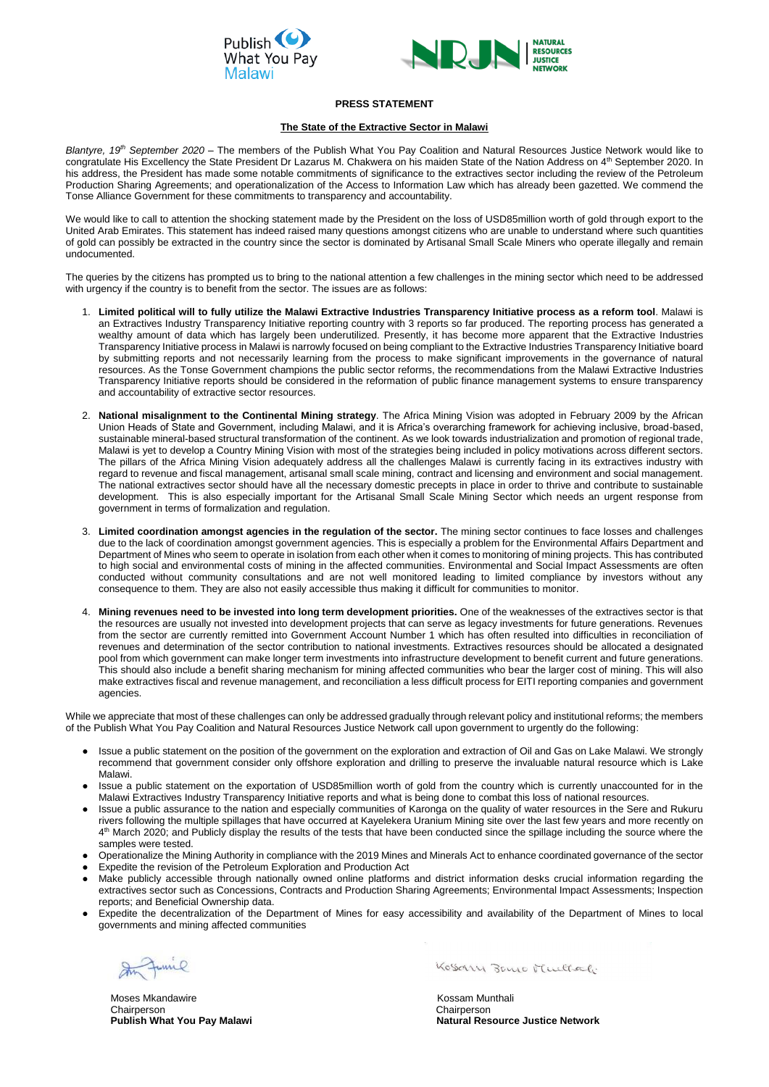



## **PRESS STATEMENT**

## **The State of the Extractive Sector in Malawi**

*Blantyre, 19th September 2020 –* The members of the Publish What You Pay Coalition and Natural Resources Justice Network would like to congratulate His Excellency the State President Dr Lazarus M. Chakwera on his maiden State of the Nation Address on 4<sup>th</sup> September 2020. In his address, the President has made some notable commitments of significance to the extractives sector including the review of the Petroleum Production Sharing Agreements; and operationalization of the Access to Information Law which has already been gazetted. We commend the Tonse Alliance Government for these commitments to transparency and accountability.

We would like to call to attention the shocking statement made by the President on the loss of USD85million worth of gold through export to the United Arab Emirates. This statement has indeed raised many questions amongst citizens who are unable to understand where such quantities of gold can possibly be extracted in the country since the sector is dominated by Artisanal Small Scale Miners who operate illegally and remain undocumented.

The queries by the citizens has prompted us to bring to the national attention a few challenges in the mining sector which need to be addressed with urgency if the country is to benefit from the sector. The issues are as follows:

- 1. **Limited political will to fully utilize the Malawi Extractive Industries Transparency Initiative process as a reform tool**. Malawi is an Extractives Industry Transparency Initiative reporting country with 3 reports so far produced. The reporting process has generated a wealthy amount of data which has largely been underutilized. Presently, it has become more apparent that the Extractive Industries Transparency Initiative process in Malawi is narrowly focused on being compliant to the Extractive Industries Transparency Initiative board by submitting reports and not necessarily learning from the process to make significant improvements in the governance of natural resources. As the Tonse Government champions the public sector reforms, the recommendations from the Malawi Extractive Industries Transparency Initiative reports should be considered in the reformation of public finance management systems to ensure transparency and accountability of extractive sector resources.
- 2. **National misalignment to the Continental Mining strategy**. The Africa Mining Vision was adopted in February 2009 by the African Union Heads of State and Government, including Malawi, and it is Africa's overarching framework for achieving inclusive, broad-based, sustainable mineral-based structural transformation of the continent. As we look towards industrialization and promotion of regional trade, Malawi is yet to develop a Country Mining Vision with most of the strategies being included in policy motivations across different sectors. The pillars of the Africa Mining Vision adequately address all the challenges Malawi is currently facing in its extractives industry with regard to revenue and fiscal management, artisanal small scale mining, contract and licensing and environment and social management. The national extractives sector should have all the necessary domestic precepts in place in order to thrive and contribute to sustainable development. This is also especially important for the Artisanal Small Scale Mining Sector which needs an urgent response from government in terms of formalization and regulation.
- 3. **Limited coordination amongst agencies in the regulation of the sector.** The mining sector continues to face losses and challenges due to the lack of coordination amongst government agencies. This is especially a problem for the Environmental Affairs Department and Department of Mines who seem to operate in isolation from each other when it comes to monitoring of mining projects. This has contributed to high social and environmental costs of mining in the affected communities. Environmental and Social Impact Assessments are often conducted without community consultations and are not well monitored leading to limited compliance by investors without any consequence to them. They are also not easily accessible thus making it difficult for communities to monitor.
- 4. **Mining revenues need to be invested into long term development priorities.** One of the weaknesses of the extractives sector is that the resources are usually not invested into development projects that can serve as legacy investments for future generations. Revenues from the sector are currently remitted into Government Account Number 1 which has often resulted into difficulties in reconciliation of revenues and determination of the sector contribution to national investments. Extractives resources should be allocated a designated pool from which government can make longer term investments into infrastructure development to benefit current and future generations. This should also include a benefit sharing mechanism for mining affected communities who bear the larger cost of mining. This will also make extractives fiscal and revenue management, and reconciliation a less difficult process for EITI reporting companies and government agencies.

Moses Mkandawire **Kossam Munthali** Kossam Munthali Chairperson Chairperson

Kosary Bano Multal.

While we appreciate that most of these challenges can only be addressed gradually through relevant policy and institutional reforms; the members of the Publish What You Pay Coalition and Natural Resources Justice Network call upon government to urgently do the following:

- Issue a public statement on the position of the government on the exploration and extraction of Oil and Gas on Lake Malawi. We strongly recommend that government consider only offshore exploration and drilling to preserve the invaluable natural resource which is Lake Malawi.
- Issue a public statement on the exportation of USD85million worth of gold from the country which is currently unaccounted for in the Malawi Extractives Industry Transparency Initiative reports and what is being done to combat this loss of national resources.
- Issue a public assurance to the nation and especially communities of Karonga on the quality of water resources in the Sere and Rukuru rivers following the multiple spillages that have occurred at Kayelekera Uranium Mining site over the last few years and more recently on 4<sup>th</sup> March 2020; and Publicly display the results of the tests that have been conducted since the spillage including the source where the samples were tested.
- Operationalize the Mining Authority in compliance with the 2019 Mines and Minerals Act to enhance coordinated governance of the sector
- Expedite the revision of the Petroleum Exploration and Production Act
- Make publicly accessible through nationally owned online platforms and district information desks crucial information regarding the extractives sector such as Concessions, Contracts and Production Sharing Agreements; Environmental Impact Assessments; Inspection reports; and Beneficial Ownership data.
- Expedite the decentralization of the Department of Mines for easy accessibility and availability of the Department of Mines to local governments and mining affected communities

In Junie

 **Publish What You Pay Malawi Natural Resource Justice Network**